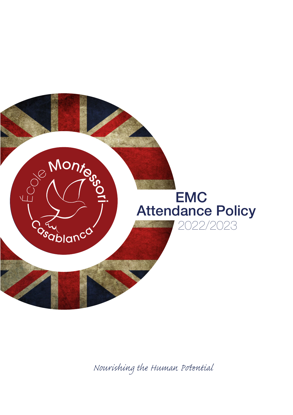

*Nourishing the Human Pential*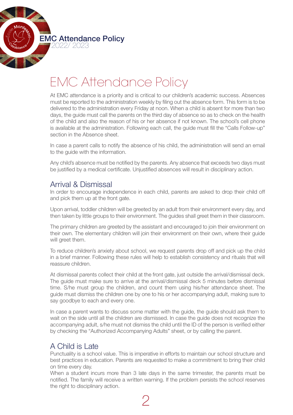

# EMC Attendance Policy

At EMC attendance is a priority and is critical to our children's academic success. Absences must be reported to the administration weekly by filing out the absence form. This form is to be delivered to the administration every Friday at noon. When a child is absent for more than two days, the guide must call the parents on the third day of absence so as to check on the health of the child and also the reason of his or her absence if not known. The school's cell phone is available at the administration. Following each call, the guide must fill the "Calls Follow-up" section in the Absence sheet.

In case a parent calls to notify the absence of his child, the administration will send an email to the guide with the information.

Any child's absence must be notified by the parents. Any absence that exceeds two days must be justified by a medical certificate. Unjustified absences will result in disciplinary action.

# Arrival & Dismissal

In order to encourage independence in each child, parents are asked to drop their child off and pick them up at the front gate.

Upon arrival, toddler children will be greeted by an adult from their environment every day, and then taken by little groups to their environment. The guides shall greet them in their classroom.

The primary children are greeted by the assistant and encouraged to join their environment on their own. The elementary children will join their environment on their own, where their guide will greet them.

To reduce children's anxiety about school, we request parents drop off and pick up the child in a brief manner. Following these rules will help to establish consistency and rituals that will reassure children.

At dismissal parents collect their child at the front gate, just outside the arrival/dismissal deck. The guide must make sure to arrive at the arrival/dismissal deck 5 minutes before dismissal time. S/he must group the children, and count them using his/her attendance sheet. The guide must dismiss the children one by one to his or her accompanying adult, making sure to say goodbye to each and every one.

In case a parent wants to discuss some matter with the guide, the guide should ask them to wait on the side until all the children are dismissed. In case the guide does not recognize the accompanying adult, s/he must not dismiss the child until the ID of the person is verified either by checking the "Authorized Accompanying Adults" sheet, or by calling the parent.

# A Child is Late

Punctuality is a school value. This is imperative in efforts to maintain our school structure and best practices in education. Parents are requested to make a commitment to bring their child on time every day.

When a student incurs more than 3 late days in the same trimester, the parents must be notified. The family will receive a written warning. If the problem persists the school reserves the right to disciplinary action.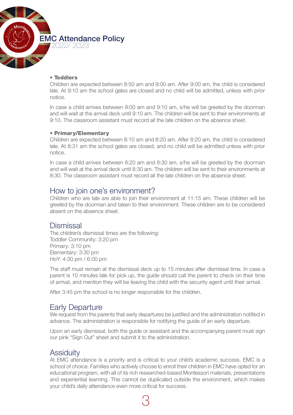

#### • Toddlers

Children are expected between 8:50 am and 9:00 am. After 9:00 am, the child is considered late. At 9:10 am the school gates are closed and no child will be admitted, unless with prior notice.

In case a child arrives between 9:00 am and 9:10 am, s/he will be greeted by the doorman and will wait at the arrival deck until 9:10 am. The children will be sent to their environments at 9:10. The classroom assistant must record all the late children on the absence sheet.

#### • Primary/Elementary

Children are expected between 8:10 am and 8:20 am. After 8:20 am, the child is considered late. At 8:31 am the school gates are closed, and no child will be admitted unless with prior notice.

In case a child arrives between 8:20 am and 8:30 am, s/he will be greeted by the doorman and will wait at the arrival deck until 8:30 am. The children will be sent to their environments at 8:30. The classroom assistant must record all the late children on the absence sheet.

## How to join one's environment?

Children who are late are able to join their environment at 11:15 am. These children will be greeted by the doorman and taken to their environment. These children are to be considered absent on the absence sheet.

## **Dismissal**

The children's dismissal times are the following: Toddler Community: 3:20 pm Primary: 3:10 pm Elementary: 3:30 pm HoY: 4:30 pm / 6:00 pm

The staff must remain at the dismissal deck up to 15 minutes after dismissal time. In case a parent is 10 minutes late for pick up, the guide should call the parent to check on their time of arrival, and mention they will be leaving the child with the security agent until their arrival.

After 3:45 pm the school is no longer responsible for the children.

# Early Departure

We request from the parents that early departures be justified and the administration notified in advance. The administration is responsible for notifying the guide of an early departure.

Upon an early dismissal, both the guide or assistant and the accompanying parent must sign our pink "Sign Out" sheet and submit it to the administration.

# Assiduity

At EMC attendance is a priority and is critical to your child's academic success. EMC is a school of choice. Families who actively choose to enroll their children in EMC have opted for an educational program, with all of its rich researched-based Montessori materials, presentations and experiential learning. This cannot be duplicated outside the environment, which makes your child's daily attendance even more critical for success.